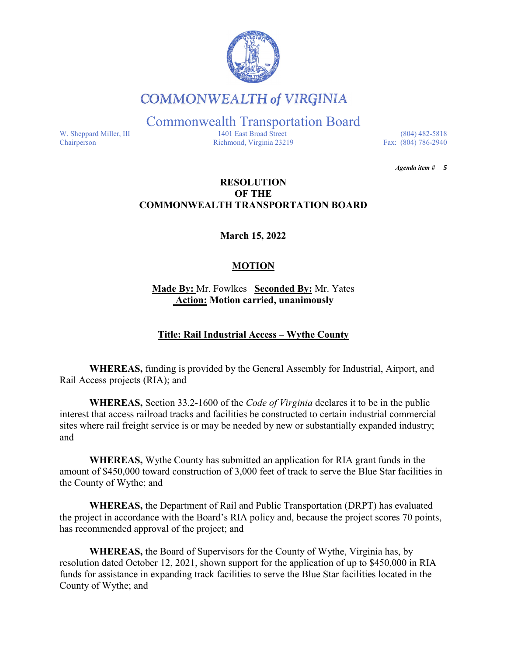

# **COMMONWEALTH of VIRGINIA**

Commonwealth Transportation Board

W. Sheppard Miller, III 1401 East Broad Street (804) 482-5818<br>Chairperson Richmond, Virginia 23219 Fax: (804) 786-2940 Richmond, Virginia 23219

*Agenda item # 5* 

### **RESOLUTION OF THE COMMONWEALTH TRANSPORTATION BOARD**

**March 15, 2022**

## **MOTION**

**Made By:** Mr. Fowlkes **Seconded By:** Mr. Yates **Action: Motion carried, unanimously**

## **Title: Rail Industrial Access – Wythe County**

**WHEREAS,** funding is provided by the General Assembly for Industrial, Airport, and Rail Access projects (RIA); and

**WHEREAS,** Section 33.2-1600 of the *Code of Virginia* declares it to be in the public interest that access railroad tracks and facilities be constructed to certain industrial commercial sites where rail freight service is or may be needed by new or substantially expanded industry; and

**WHEREAS,** Wythe County has submitted an application for RIA grant funds in the amount of \$450,000 toward construction of 3,000 feet of track to serve the Blue Star facilities in the County of Wythe; and

**WHEREAS,** the Department of Rail and Public Transportation (DRPT) has evaluated the project in accordance with the Board's RIA policy and, because the project scores 70 points, has recommended approval of the project; and

**WHEREAS,** the Board of Supervisors for the County of Wythe, Virginia has, by resolution dated October 12, 2021, shown support for the application of up to \$450,000 in RIA funds for assistance in expanding track facilities to serve the Blue Star facilities located in the County of Wythe; and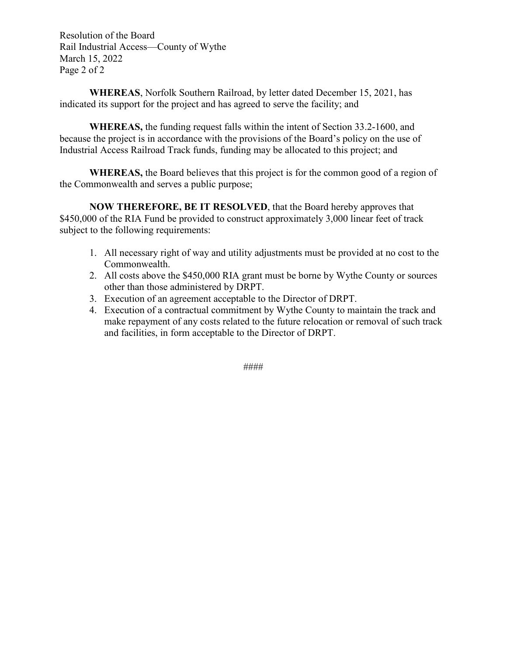Resolution of the Board Rail Industrial Access—County of Wythe March 15, 2022 Page 2 of 2

**WHEREAS**, Norfolk Southern Railroad, by letter dated December 15, 2021, has indicated its support for the project and has agreed to serve the facility; and

**WHEREAS,** the funding request falls within the intent of Section 33.2-1600, and because the project is in accordance with the provisions of the Board's policy on the use of Industrial Access Railroad Track funds, funding may be allocated to this project; and

**WHEREAS,** the Board believes that this project is for the common good of a region of the Commonwealth and serves a public purpose;

**NOW THEREFORE, BE IT RESOLVED**, that the Board hereby approves that \$450,000 of the RIA Fund be provided to construct approximately 3,000 linear feet of track subject to the following requirements:

- 1. All necessary right of way and utility adjustments must be provided at no cost to the Commonwealth.
- 2. All costs above the \$450,000 RIA grant must be borne by Wythe County or sources other than those administered by DRPT.
- 3. Execution of an agreement acceptable to the Director of DRPT.
- 4. Execution of a contractual commitment by Wythe County to maintain the track and make repayment of any costs related to the future relocation or removal of such track and facilities, in form acceptable to the Director of DRPT.

####